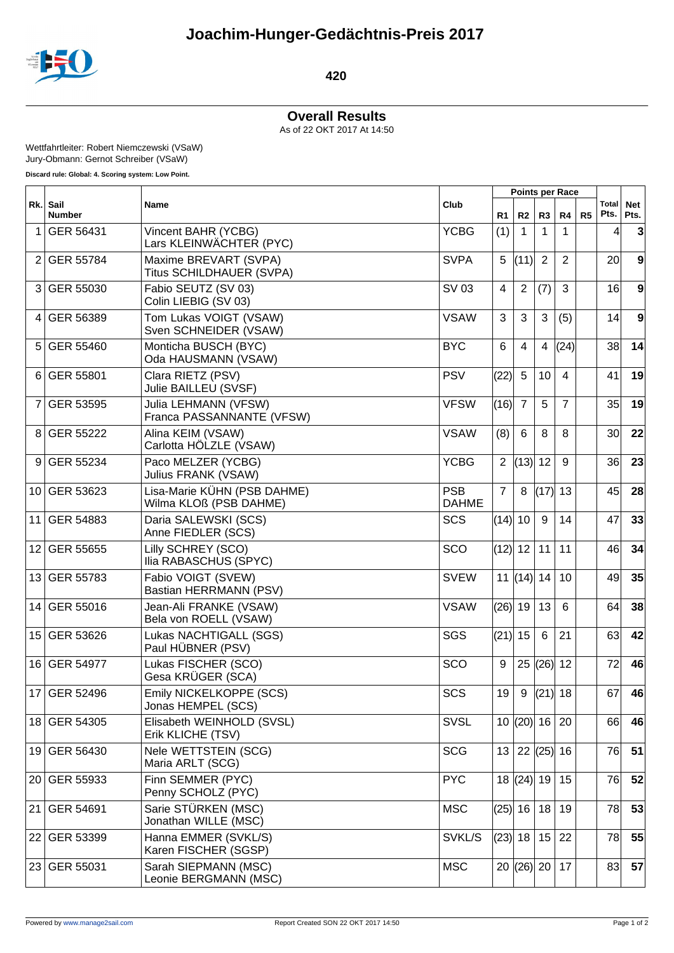

## **420**

**Overall Results** As of 22 OKT 2017 At 14:50

Wettfahrtleiter: Robert Niemczewski (VSaW)

Jury-Obmann: Gernot Schreiber (VSaW)

**Discard rule: Global: 4. Scoring system: Low Point.**  $\overline{\phantom{0}}$ 

|                 | Rk. Sail<br><b>Number</b> | Name                                                  |                            | <b>Points per Race</b> |                     |                          |                |    |                 |                    |
|-----------------|---------------------------|-------------------------------------------------------|----------------------------|------------------------|---------------------|--------------------------|----------------|----|-----------------|--------------------|
|                 |                           |                                                       | Club                       | R <sub>1</sub>         | R <sub>2</sub>      | R3                       | R4             | R5 | Total<br>Pts.   | <b>Net</b><br>Pts. |
| 1               | GER 56431                 | Vincent BAHR (YCBG)<br>Lars KLEINWÄCHTER (PYC)        | <b>YCBG</b>                | (1)                    | 1                   | 1                        |                |    | 4               | 3                  |
| 2               | GER 55784                 | Maxime BREVART (SVPA)<br>Titus SCHILDHAUER (SVPA)     | <b>SVPA</b>                | 5                      | (11)                | $\overline{2}$           | $\overline{2}$ |    | 20 <sup>1</sup> | 9                  |
| 31              | GER 55030                 | Fabio SEUTZ (SV 03)<br>Colin LIEBIG (SV 03)           | SV 03                      | 4                      | 2                   | (7)                      | 3              |    | 16              | 9                  |
| 4               | GER 56389                 | Tom Lukas VOIGT (VSAW)<br>Sven SCHNEIDER (VSAW)       | <b>VSAW</b>                | 3                      | 3                   | 3                        | (5)            |    | 14              | 9                  |
| 5               | GER 55460                 | Monticha BUSCH (BYC)<br>Oda HAUSMANN (VSAW)           | <b>BYC</b>                 | 6                      | 4                   | 4                        | (24)           |    | 38              | 14                 |
| 6               | GER 55801                 | Clara RIETZ (PSV)<br>Julie BAILLEU (SVSF)             | <b>PSV</b>                 | (22)                   | 5                   | 10                       | $\overline{4}$ |    | 41              | 19                 |
| 7               | GER 53595                 | Julia LEHMANN (VFSW)<br>Franca PASSANNANTE (VFSW)     | <b>VFSW</b>                | (16)                   | $\overline{7}$      | 5                        | $\overline{7}$ |    | 35              | 19                 |
| 8               | GER 55222                 | Alina KEIM (VSAW)<br>Carlotta HÖLZLE (VSAW)           | <b>VSAW</b>                | (8)                    | 6                   | 8                        | 8              |    | 30 <sup>1</sup> | 22                 |
| 9               | GER 55234                 | Paco MELZER (YCBG)<br>Julius FRANK (VSAW)             | <b>YCBG</b>                | $\overline{2}$         | (13)                | 12                       | 9              |    | 36 <sup>2</sup> | 23                 |
|                 | 10 GER 53623              | Lisa-Marie KÜHN (PSB DAHME)<br>Wilma KLOß (PSB DAHME) | <b>PSB</b><br><b>DAHME</b> | $\overline{7}$         | 8                   | $(17)$ 13                |                |    | 45              | 28                 |
| 11              | GER 54883                 | Daria SALEWSKI (SCS)<br>Anne FIEDLER (SCS)            | <b>SCS</b>                 | $(14)$ 10              |                     | 9                        | 14             |    | 47              | 33                 |
| 12 <sup>°</sup> | GER 55655                 | Lilly SCHREY (SCO)<br>Ilia RABASCHUS (SPYC)           | SCO                        | (12) 12                |                     | 11                       | 11             |    | 46              | 34                 |
| 13              | GER 55783                 | Fabio VOIGT (SVEW)<br>Bastian HERRMANN (PSV)          | <b>SVEW</b>                |                        | 11 $ (14) $ 14      |                          | 10             |    | 49              | 35                 |
| 14              | GER 55016                 | Jean-Ali FRANKE (VSAW)<br>Bela von ROELL (VSAW)       | <b>VSAW</b>                | $(26)$ 19              |                     | 13                       | 6              |    | 64              | 38                 |
| 15 <sub>1</sub> | <b>GER 53626</b>          | Lukas NACHTIGALL (SGS)<br>Paul HÜBNER (PSV)           | SGS                        | (21) 15                |                     | 6                        | 21             |    | 63              | 42                 |
|                 | 16 GER 54977              | Lukas FISCHER (SCO)<br>Gesa KRÜGER (SCA)              | SCO                        | 9                      | 25                  | $(26)$ 12                |                |    | 72              | 46                 |
|                 | 17 GER 52496              | Emily NICKELKOPPE (SCS)<br>Jonas HEMPEL (SCS)         | SCS                        | $19$ 9                 |                     | $\left  (21) \right  18$ |                |    | 67              | 46                 |
|                 | 18 GER 54305              | Elisabeth WEINHOLD (SVSL)<br>Erik KLICHE (TSV)        | <b>SVSL</b>                |                        | 10  (20)  16   20   |                          |                |    | 66              | 46                 |
|                 | 19 GER 56430              | Nele WETTSTEIN (SCG)<br>Maria ARLT (SCG)              | <b>SCG</b>                 |                        | 13   22   (25)   16 |                          |                |    | 76              | 51                 |
|                 | 20 GER 55933              | Finn SEMMER (PYC)<br>Penny SCHOLZ (PYC)               | <b>PYC</b>                 |                        | 18  (24)  19        |                          | 15             |    | 76              | 52                 |
| 21              | GER 54691                 | Sarie STÜRKEN (MSC)<br>Jonathan WILLE (MSC)           | <b>MSC</b>                 | (25) 16                |                     | 18                       | 19             |    | 78              | 53                 |
|                 | 22 GER 53399              | Hanna EMMER (SVKL/S)<br>Karen FISCHER (SGSP)          | SVKL/S                     | (23) 18                |                     | 15                       | 22             |    | 78              | 55                 |
|                 | 23 GER 55031              | Sarah SIEPMANN (MSC)<br>Leonie BERGMANN (MSC)         | <b>MSC</b>                 |                        | 20  (26)  20        |                          | 17             |    | 83              | 57                 |